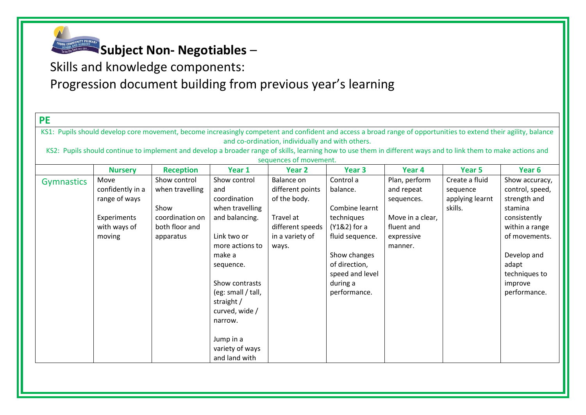

Skills and knowledge components:

| <b>PE</b>                                                                                                                                                        |                                                  |                  |                                  |                   |                   |                  |                 |                 |  |  |  |  |
|------------------------------------------------------------------------------------------------------------------------------------------------------------------|--------------------------------------------------|------------------|----------------------------------|-------------------|-------------------|------------------|-----------------|-----------------|--|--|--|--|
| KS1: Pupils should develop core movement, become increasingly competent and confident and access a broad range of opportunities to extend their agility, balance |                                                  |                  |                                  |                   |                   |                  |                 |                 |  |  |  |  |
|                                                                                                                                                                  | and co-ordination, individually and with others. |                  |                                  |                   |                   |                  |                 |                 |  |  |  |  |
| KS2: Pupils should continue to implement and develop a broader range of skills, learning how to use them in different ways and to link them to make actions and  |                                                  |                  |                                  |                   |                   |                  |                 |                 |  |  |  |  |
| sequences of movement.                                                                                                                                           |                                                  |                  |                                  |                   |                   |                  |                 |                 |  |  |  |  |
|                                                                                                                                                                  | <b>Nursery</b>                                   | <b>Reception</b> | Year 1                           | Year <sub>2</sub> | Year <sub>3</sub> | Year 4           | Year 5          | Year 6          |  |  |  |  |
| <b>Gymnastics</b>                                                                                                                                                | Move                                             | Show control     | Show control                     | Balance on        | Control a         | Plan, perform    | Create a fluid  | Show accuracy,  |  |  |  |  |
|                                                                                                                                                                  | confidently in a                                 | when travelling  | and                              | different points  | balance.          | and repeat       | sequence        | control, speed, |  |  |  |  |
|                                                                                                                                                                  | range of ways                                    |                  | coordination                     | of the body.      |                   | sequences.       | applying learnt | strength and    |  |  |  |  |
|                                                                                                                                                                  |                                                  | Show             | when travelling                  |                   | Combine learnt    |                  | skills.         | stamina         |  |  |  |  |
|                                                                                                                                                                  | Experiments                                      | coordination on  | and balancing.                   | Travel at         | techniques        | Move in a clear, |                 | consistently    |  |  |  |  |
|                                                                                                                                                                  | with ways of                                     | both floor and   |                                  | different speeds  | (Y1&2) for a      | fluent and       |                 | within a range  |  |  |  |  |
|                                                                                                                                                                  | moving                                           | apparatus        | Link two or                      | in a variety of   | fluid sequence.   | expressive       |                 | of movements.   |  |  |  |  |
|                                                                                                                                                                  |                                                  |                  | more actions to                  | ways.             |                   | manner.          |                 |                 |  |  |  |  |
|                                                                                                                                                                  |                                                  |                  | make a                           |                   | Show changes      |                  |                 | Develop and     |  |  |  |  |
|                                                                                                                                                                  |                                                  |                  | sequence.                        |                   | of direction,     |                  |                 | adapt           |  |  |  |  |
|                                                                                                                                                                  |                                                  |                  |                                  |                   | speed and level   |                  |                 | techniques to   |  |  |  |  |
|                                                                                                                                                                  |                                                  |                  | Show contrasts                   |                   | during a          |                  |                 | improve         |  |  |  |  |
|                                                                                                                                                                  |                                                  |                  | (eg: small / tall,               |                   | performance.      |                  |                 | performance.    |  |  |  |  |
|                                                                                                                                                                  |                                                  |                  | straight /                       |                   |                   |                  |                 |                 |  |  |  |  |
|                                                                                                                                                                  |                                                  |                  | curved, wide /                   |                   |                   |                  |                 |                 |  |  |  |  |
|                                                                                                                                                                  |                                                  |                  | narrow.                          |                   |                   |                  |                 |                 |  |  |  |  |
|                                                                                                                                                                  |                                                  |                  |                                  |                   |                   |                  |                 |                 |  |  |  |  |
|                                                                                                                                                                  |                                                  |                  | Jump in a                        |                   |                   |                  |                 |                 |  |  |  |  |
|                                                                                                                                                                  |                                                  |                  | variety of ways<br>and land with |                   |                   |                  |                 |                 |  |  |  |  |
|                                                                                                                                                                  |                                                  |                  |                                  |                   |                   |                  |                 |                 |  |  |  |  |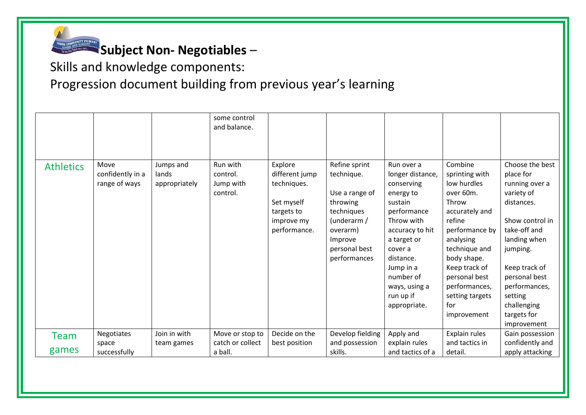

Skills and knowledge components:

|                  |                                           |                                     | some control<br>and balance.                  |                                                                                                    |                                                                                                                                                |                                                                                                                                                                                                                                     |                                                                                                                                                                                                                                                       |                                                                                                                                                                                                                                                      |
|------------------|-------------------------------------------|-------------------------------------|-----------------------------------------------|----------------------------------------------------------------------------------------------------|------------------------------------------------------------------------------------------------------------------------------------------------|-------------------------------------------------------------------------------------------------------------------------------------------------------------------------------------------------------------------------------------|-------------------------------------------------------------------------------------------------------------------------------------------------------------------------------------------------------------------------------------------------------|------------------------------------------------------------------------------------------------------------------------------------------------------------------------------------------------------------------------------------------------------|
| <b>Athletics</b> | Move<br>confidently in a<br>range of ways | Jumps and<br>lands<br>appropriately | Run with<br>control.<br>Jump with<br>control. | Explore<br>different jump<br>techniques.<br>Set myself<br>targets to<br>improve my<br>performance. | Refine sprint<br>technique.<br>Use a range of<br>throwing<br>techniques<br>(underarm /<br>overarm)<br>Improve<br>personal best<br>performances | Run over a<br>longer distance,<br>conserving<br>energy to<br>sustain<br>performance<br>Throw with<br>accuracy to hit<br>a target or<br>cover a<br>distance.<br>Jump in a<br>number of<br>ways, using a<br>run up if<br>appropriate. | Combine<br>sprinting with<br>low hurdles<br>over 60m.<br>Throw<br>accurately and<br>refine<br>performance by<br>analysing<br>technique and<br>body shape.<br>Keep track of<br>personal best<br>performances,<br>setting targets<br>for<br>improvement | Choose the best<br>place for<br>running over a<br>variety of<br>distances.<br>Show control in<br>take-off and<br>landing when<br>jumping.<br>Keep track of<br>personal best<br>performances,<br>setting<br>challenging<br>targets for<br>improvement |
| Team             | Negotiates                                | Join in with                        | Move or stop to                               | Decide on the                                                                                      | Develop fielding                                                                                                                               | Apply and                                                                                                                                                                                                                           | Explain rules                                                                                                                                                                                                                                         | Gain possession                                                                                                                                                                                                                                      |
| games            | space<br>successfully                     | team games                          | catch or collect<br>a ball.                   | best position                                                                                      | and possession<br>skills.                                                                                                                      | explain rules<br>and tactics of a                                                                                                                                                                                                   | and tactics in<br>detail.                                                                                                                                                                                                                             | confidently and<br>apply attacking                                                                                                                                                                                                                   |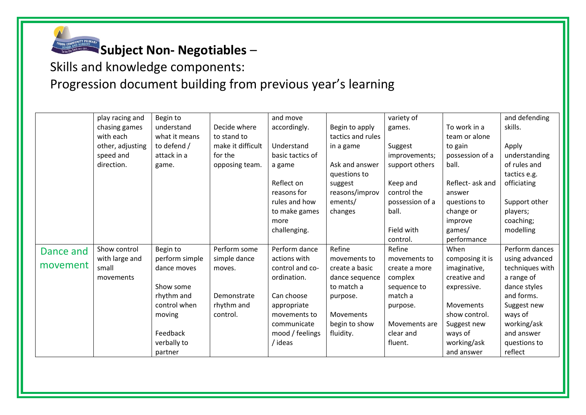

Skills and knowledge components:

|           | play racing and  | Begin to       |                   | and move         |                   | variety of      |                  | and defending   |
|-----------|------------------|----------------|-------------------|------------------|-------------------|-----------------|------------------|-----------------|
|           | chasing games    | understand     | Decide where      | accordingly.     | Begin to apply    | games.          | To work in a     | skills.         |
|           | with each        | what it means  | to stand to       |                  | tactics and rules |                 | team or alone    |                 |
|           | other, adjusting | to defend /    | make it difficult | Understand       | in a game         | Suggest         | to gain          | Apply           |
|           | speed and        | attack in a    | for the           | basic tactics of |                   | improvements;   | possession of a  | understanding   |
|           | direction.       | game.          | opposing team.    | a game           | Ask and answer    | support others  | ball.            | of rules and    |
|           |                  |                |                   |                  | questions to      |                 |                  | tactics e.g.    |
|           |                  |                |                   | Reflect on       | suggest           | Keep and        | Reflect- ask and | officiating     |
|           |                  |                |                   | reasons for      | reasons/improv    | control the     | answer           |                 |
|           |                  |                |                   | rules and how    | ements/           | possession of a | questions to     | Support other   |
|           |                  |                |                   | to make games    | changes           | ball.           | change or        | players;        |
|           |                  |                |                   | more             |                   |                 | improve          | coaching;       |
|           |                  |                |                   | challenging.     |                   | Field with      | games/           | modelling       |
|           |                  |                |                   |                  |                   | control.        | performance      |                 |
| Dance and | Show control     | Begin to       | Perform some      | Perform dance    | Refine            | Refine          | When             | Perform dances  |
|           | with large and   | perform simple | simple dance      | actions with     | movements to      | movements to    | composing it is  | using advanced  |
| movement  | small            | dance moves    | moves.            | control and co-  | create a basic    | create a more   | imaginative,     | techniques with |
|           | movements        |                |                   | ordination.      | dance sequence    | complex         | creative and     | a range of      |
|           |                  | Show some      |                   |                  | to match a        | sequence to     | expressive.      | dance styles    |
|           |                  | rhythm and     | Demonstrate       | Can choose       | purpose.          | match a         |                  | and forms.      |
|           |                  | control when   | rhythm and        | appropriate      |                   | purpose.        | Movements        | Suggest new     |
|           |                  | moving         | control.          | movements to     | Movements         |                 | show control.    | ways of         |
|           |                  |                |                   | communicate      | begin to show     | Movements are   | Suggest new      | working/ask     |
|           |                  | Feedback       |                   | mood / feelings  | fluidity.         | clear and       | ways of          | and answer      |
|           |                  | verbally to    |                   | / ideas          |                   | fluent.         | working/ask      | questions to    |
|           |                  | partner        |                   |                  |                   |                 | and answer       | reflect         |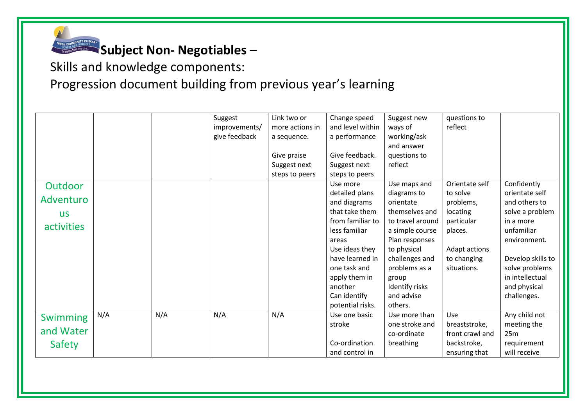

## Skills and knowledge components: Progression document building from previous year's learning

|                 |     |     | Suggest       | Link two or     | Change speed     | Suggest new      | questions to    |                   |
|-----------------|-----|-----|---------------|-----------------|------------------|------------------|-----------------|-------------------|
|                 |     |     | improvements/ | more actions in | and level within | ways of          | reflect         |                   |
|                 |     |     | give feedback | a sequence.     | a performance    | working/ask      |                 |                   |
|                 |     |     |               |                 |                  | and answer       |                 |                   |
|                 |     |     |               | Give praise     | Give feedback.   | questions to     |                 |                   |
|                 |     |     |               | Suggest next    | Suggest next     | reflect          |                 |                   |
|                 |     |     |               | steps to peers  | steps to peers   |                  |                 |                   |
| Outdoor         |     |     |               |                 | Use more         | Use maps and     | Orientate self  | Confidently       |
|                 |     |     |               |                 | detailed plans   | diagrams to      | to solve        | orientate self    |
| Adventuro       |     |     |               |                 | and diagrams     | orientate        | problems,       | and others to     |
| <b>US</b>       |     |     |               |                 | that take them   | themselves and   | locating        | solve a problem   |
| activities      |     |     |               |                 | from familiar to | to travel around | particular      | in a more         |
|                 |     |     |               |                 | less familiar    | a simple course  | places.         | unfamiliar        |
|                 |     |     |               |                 | areas            | Plan responses   |                 | environment.      |
|                 |     |     |               |                 | Use ideas they   | to physical      | Adapt actions   |                   |
|                 |     |     |               |                 | have learned in  | challenges and   | to changing     | Develop skills to |
|                 |     |     |               |                 | one task and     | problems as a    | situations.     | solve problems    |
|                 |     |     |               |                 | apply them in    | group            |                 | in intellectual   |
|                 |     |     |               |                 | another          | Identify risks   |                 | and physical      |
|                 |     |     |               |                 | Can identify     | and advise       |                 | challenges.       |
|                 |     |     |               |                 | potential risks. | others.          |                 |                   |
| <b>Swimming</b> | N/A | N/A | N/A           | N/A             | Use one basic    | Use more than    | Use             | Any child not     |
|                 |     |     |               |                 | stroke           | one stroke and   | breaststroke,   | meeting the       |
| and Water       |     |     |               |                 |                  | co-ordinate      | front crawl and | 25m               |
| Safety          |     |     |               |                 | Co-ordination    | breathing        | backstroke,     | requirement       |
|                 |     |     |               |                 | and control in   |                  | ensuring that   | will receive      |